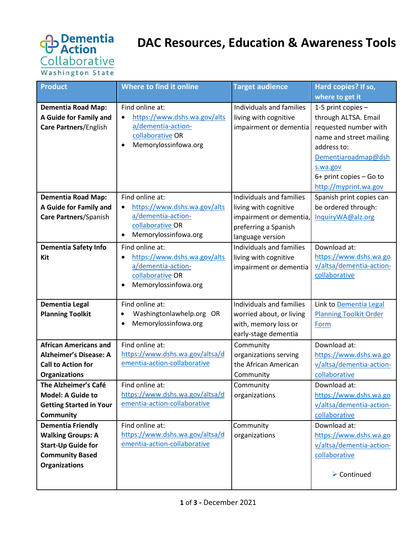

## **DAC Resources, Education & Awareness Tools**

| <b>Product</b>                                                                      | Where to find it online                                                                                           | <b>Target audience</b>                                                      | Hard copies? If so,                                                                                                                                                                                  |
|-------------------------------------------------------------------------------------|-------------------------------------------------------------------------------------------------------------------|-----------------------------------------------------------------------------|------------------------------------------------------------------------------------------------------------------------------------------------------------------------------------------------------|
|                                                                                     |                                                                                                                   |                                                                             | where to get it                                                                                                                                                                                      |
| <b>Dementia Road Map:</b><br>A Guide for Family and<br><b>Care Partners/English</b> | Find online at:<br>https://www.dshs.wa.gov/alts<br>a/dementia-action-<br>collaborative OR<br>Memorylossinfowa.org | Individuals and families<br>living with cognitive<br>impairment or dementia | 1-5 print copies -<br>through ALTSA. Email<br>requested number with<br>name and street mailing<br>address to:<br>Dementiaroadmap@dsh<br>s.wa.gov<br>6+ print copies - Go to<br>http://myprint.wa.gov |
| <b>Dementia Road Map:</b>                                                           | Find online at:                                                                                                   | Individuals and families                                                    | Spanish print copies can                                                                                                                                                                             |
| A Guide for Family and                                                              | https://www.dshs.wa.gov/alts                                                                                      | living with cognitive                                                       | be ordered through:                                                                                                                                                                                  |
| <b>Care Partners/Spanish</b>                                                        | a/dementia-action-                                                                                                | impairment or dementia,                                                     | InquiryWA@alz.org                                                                                                                                                                                    |
|                                                                                     | collaborative OR                                                                                                  | preferring a Spanish                                                        |                                                                                                                                                                                                      |
|                                                                                     | Memorylossinfowa.org                                                                                              | language version                                                            |                                                                                                                                                                                                      |
| <b>Dementia Safety Info</b>                                                         | Find online at:                                                                                                   | Individuals and families                                                    | Download at:                                                                                                                                                                                         |
| Kit                                                                                 | https://www.dshs.wa.gov/alts<br>$\bullet$                                                                         | living with cognitive                                                       | https://www.dshs.wa.go                                                                                                                                                                               |
|                                                                                     | a/dementia-action-                                                                                                | impairment or dementia                                                      | v/altsa/dementia-action-                                                                                                                                                                             |
|                                                                                     | collaborative OR<br>Memorylossinfowa.org                                                                          |                                                                             | collaborative                                                                                                                                                                                        |
|                                                                                     |                                                                                                                   |                                                                             |                                                                                                                                                                                                      |
| <b>Dementia Legal</b>                                                               | Find online at:                                                                                                   | Individuals and families                                                    | Link to Dementia Legal                                                                                                                                                                               |
| <b>Planning Toolkit</b>                                                             | Washingtonlawhelp.org OR                                                                                          | worried about, or living                                                    | <b>Planning Toolkit Order</b>                                                                                                                                                                        |
|                                                                                     | Memorylossinfowa.org<br>$\bullet$                                                                                 | with, memory loss or                                                        | Form                                                                                                                                                                                                 |
|                                                                                     |                                                                                                                   | early-stage dementia                                                        |                                                                                                                                                                                                      |
| <b>African Americans and</b>                                                        | Find online at:                                                                                                   | Community                                                                   | Download at:                                                                                                                                                                                         |
| <b>Alzheimer's Disease: A</b>                                                       | https://www.dshs.wa.gov/altsa/d                                                                                   | organizations serving                                                       | https://www.dshs.wa.go                                                                                                                                                                               |
| <b>Call to Action for</b>                                                           | ementia-action-collaborative                                                                                      | the African American                                                        | v/altsa/dementia-action-                                                                                                                                                                             |
| <b>Organizations</b>                                                                |                                                                                                                   | Community                                                                   | collaborative                                                                                                                                                                                        |
| The Alzheimer's Café                                                                | Find online at:                                                                                                   | Community                                                                   | Download at:                                                                                                                                                                                         |
| <b>Model: A Guide to</b>                                                            | https://www.dshs.wa.gov/altsa/d                                                                                   | organizations                                                               | https://www.dshs.wa.go                                                                                                                                                                               |
| <b>Getting Started in Your</b>                                                      | ementia-action-collaborative                                                                                      |                                                                             | v/altsa/dementia-action-                                                                                                                                                                             |
| <b>Community</b>                                                                    |                                                                                                                   |                                                                             | collaborative                                                                                                                                                                                        |
| <b>Dementia Friendly</b>                                                            | Find online at:                                                                                                   | Community                                                                   | Download at:                                                                                                                                                                                         |
| <b>Walking Groups: A</b>                                                            | https://www.dshs.wa.gov/altsa/d                                                                                   | organizations                                                               | https://www.dshs.wa.go                                                                                                                                                                               |
| <b>Start-Up Guide for</b>                                                           | ementia-action-collaborative                                                                                      |                                                                             | v/altsa/dementia-action-                                                                                                                                                                             |
| <b>Community Based</b>                                                              |                                                                                                                   |                                                                             | collaborative                                                                                                                                                                                        |
| <b>Organizations</b>                                                                |                                                                                                                   |                                                                             |                                                                                                                                                                                                      |
|                                                                                     |                                                                                                                   |                                                                             | $\triangleright$ Continued                                                                                                                                                                           |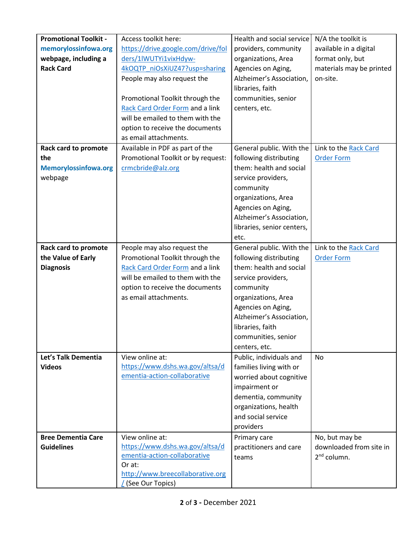| <b>Promotional Toolkit -</b> | Access toolkit here:                                            | Health and social service                   | N/A the toolkit is                       |
|------------------------------|-----------------------------------------------------------------|---------------------------------------------|------------------------------------------|
| memorylossinfowa.org         | https://drive.google.com/drive/fol                              | providers, community                        | available in a digital                   |
| webpage, including a         | ders/1lWUTYi1vixHdyw-                                           | organizations, Area                         | format only, but                         |
| <b>Rack Card</b>             | 4kOQTP niOsXiUZ47?usp=sharing                                   | Agencies on Aging,                          | materials may be printed                 |
|                              | People may also request the                                     | Alzheimer's Association,                    | on-site.                                 |
|                              |                                                                 | libraries, faith                            |                                          |
|                              | Promotional Toolkit through the                                 | communities, senior                         |                                          |
|                              | Rack Card Order Form and a link                                 | centers, etc.                               |                                          |
|                              | will be emailed to them with the                                |                                             |                                          |
|                              | option to receive the documents                                 |                                             |                                          |
|                              | as email attachments.                                           |                                             |                                          |
| Rack card to promote         | Available in PDF as part of the                                 | General public. With the                    | Link to the Rack Card                    |
| the                          | Promotional Toolkit or by request:                              | following distributing                      | <b>Order Form</b>                        |
| <b>Memorylossinfowa.org</b>  | crmcbride@alz.org                                               | them: health and social                     |                                          |
| webpage                      |                                                                 | service providers,                          |                                          |
|                              |                                                                 | community                                   |                                          |
|                              |                                                                 | organizations, Area                         |                                          |
|                              |                                                                 | Agencies on Aging,                          |                                          |
|                              |                                                                 | Alzheimer's Association,                    |                                          |
|                              |                                                                 | libraries, senior centers,                  |                                          |
|                              |                                                                 | etc.                                        |                                          |
| <b>Rack card to promote</b>  | People may also request the                                     | General public. With the                    | Link to the Rack Card                    |
| the Value of Early           | Promotional Toolkit through the                                 | following distributing                      | <b>Order Form</b>                        |
| <b>Diagnosis</b>             | Rack Card Order Form and a link                                 | them: health and social                     |                                          |
|                              | will be emailed to them with the                                | service providers,                          |                                          |
|                              | option to receive the documents                                 | community                                   |                                          |
|                              | as email attachments.                                           | organizations, Area                         |                                          |
|                              |                                                                 | Agencies on Aging,                          |                                          |
|                              |                                                                 | Alzheimer's Association,                    |                                          |
|                              |                                                                 | libraries, faith                            |                                          |
|                              |                                                                 | communities, senior                         |                                          |
|                              |                                                                 | centers, etc.                               |                                          |
| Let's Talk Dementia          | View online at:                                                 | Public, individuals and                     | <b>No</b>                                |
| <b>Videos</b>                | https://www.dshs.wa.gov/altsa/d<br>ementia-action-collaborative | families living with or                     |                                          |
|                              |                                                                 | worried about cognitive                     |                                          |
|                              |                                                                 | impairment or                               |                                          |
|                              |                                                                 | dementia, community                         |                                          |
|                              |                                                                 | organizations, health<br>and social service |                                          |
|                              |                                                                 |                                             |                                          |
|                              |                                                                 | providers                                   |                                          |
| <b>Bree Dementia Care</b>    | View online at:<br>https://www.dshs.wa.gov/altsa/d              | Primary care                                | No, but may be                           |
| <b>Guidelines</b>            | ementia-action-collaborative                                    | practitioners and care                      | downloaded from site in<br>$2nd$ column. |
|                              | Or at:                                                          | teams                                       |                                          |
|                              | http://www.breecollaborative.org                                |                                             |                                          |
|                              | (See Our Topics)                                                |                                             |                                          |